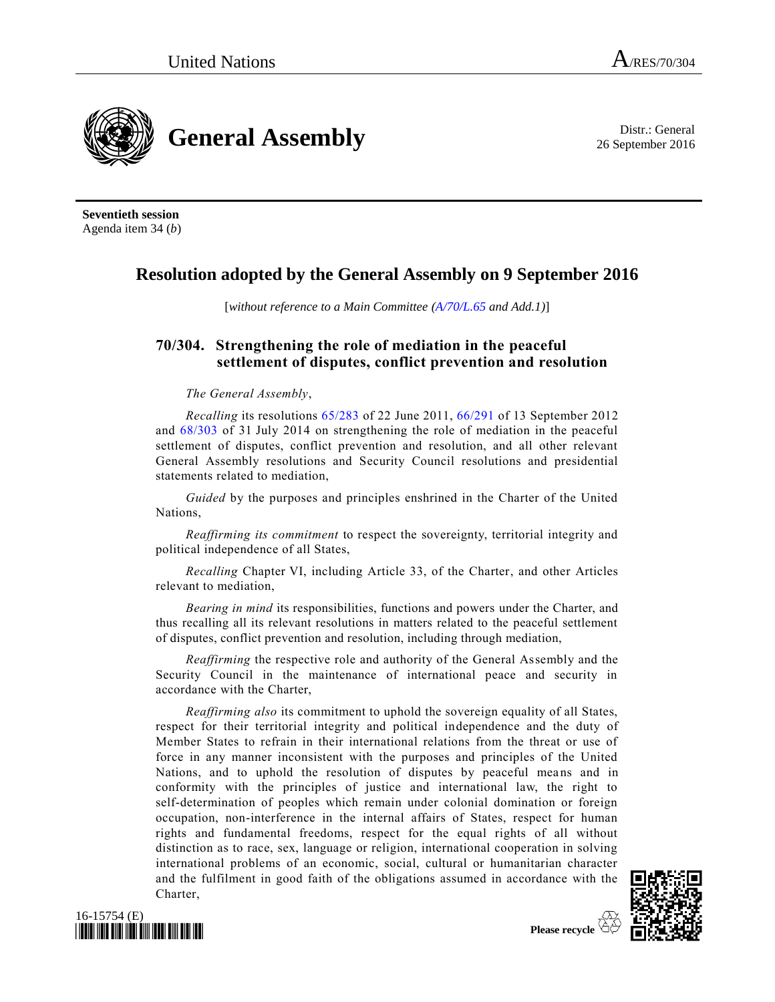26 September 2016



**Seventieth session** Agenda item 34 (*b*)

## **Resolution adopted by the General Assembly on 9 September 2016**

[*without reference to a Main Committee [\(A/70/L.65](http://undocs.org/A/70/L.65) and Add.1)*]

## **70/304. Strengthening the role of mediation in the peaceful settlement of disputes, conflict prevention and resolution**

## *The General Assembly*,

*Recalling* its resolutions [65/283](http://undocs.org/A/RES/65/283) of 22 June 2011, [66/291](http://undocs.org/A/RES/66/291) of 13 September 2012 and [68/303](http://undocs.org/A/RES/68/303) of 31 July 2014 on strengthening the role of mediation in the peaceful settlement of disputes, conflict prevention and resolution, and all other relevant General Assembly resolutions and Security Council resolutions and presidential statements related to mediation,

*Guided* by the purposes and principles enshrined in the Charter of the United Nations,

*Reaffirming its commitment* to respect the sovereignty, territorial integrity and political independence of all States,

*Recalling* Chapter VI, including Article 33, of the Charter, and other Articles relevant to mediation,

*Bearing in mind* its responsibilities, functions and powers under the Charter, and thus recalling all its relevant resolutions in matters related to the peaceful settlement of disputes, conflict prevention and resolution, including through mediation,

*Reaffirming* the respective role and authority of the General Assembly and the Security Council in the maintenance of international peace and security in accordance with the Charter,

*Reaffirming also* its commitment to uphold the sovereign equality of all States, respect for their territorial integrity and political independence and the duty of Member States to refrain in their international relations from the threat or use of force in any manner inconsistent with the purposes and principles of the United Nations, and to uphold the resolution of disputes by peaceful means and in conformity with the principles of justice and international law, the right to self-determination of peoples which remain under colonial domination or foreign occupation, non-interference in the internal affairs of States, respect for human rights and fundamental freedoms, respect for the equal rights of all without distinction as to race, sex, language or religion, international cooperation in solving international problems of an economic, social, cultural or humanitarian character and the fulfilment in good faith of the obligations assumed in accordance with the Charter,



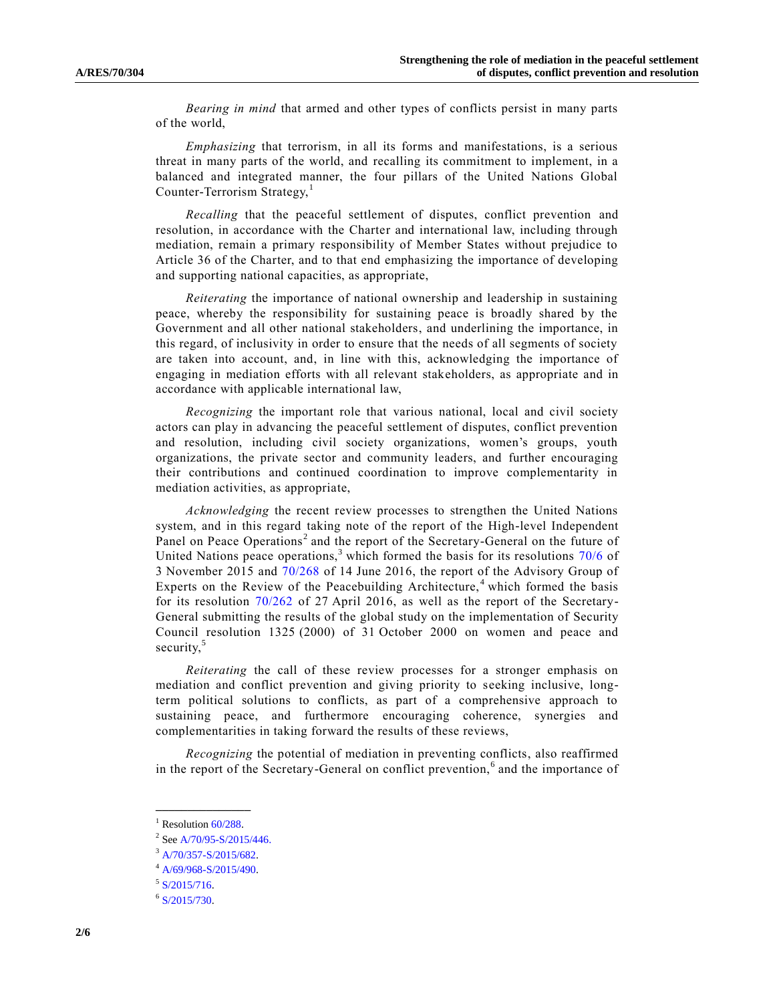*Bearing in mind* that armed and other types of conflicts persist in many parts of the world,

*Emphasizing* that terrorism, in all its forms and manifestations, is a serious threat in many parts of the world, and recalling its commitment to implement, in a balanced and integrated manner, the four pillars of the United Nations Global Counter-Terrorism Strategy, $<sup>1</sup>$ </sup>

*Recalling* that the peaceful settlement of disputes, conflict prevention and resolution, in accordance with the Charter and international law, including through mediation, remain a primary responsibility of Member States without prejudice to Article 36 of the Charter, and to that end emphasizing the importance of developing and supporting national capacities, as appropriate,

*Reiterating* the importance of national ownership and leadership in sustaining peace, whereby the responsibility for sustaining peace is broadly shared by the Government and all other national stakeholders, and underlining the importance, in this regard, of inclusivity in order to ensure that the needs of all segments of society are taken into account, and, in line with this, acknowledging the importance of engaging in mediation efforts with all relevant stakeholders, as appropriate and in accordance with applicable international law,

*Recognizing* the important role that various national, local and civil society actors can play in advancing the peaceful settlement of disputes, conflict prevention and resolution, including civil society organizations, women's groups, youth organizations, the private sector and community leaders, and further encouraging their contributions and continued coordination to improve complementarity in mediation activities, as appropriate,

*Acknowledging* the recent review processes to strengthen the United Nations system, and in this regard taking note of the report of the High-level Independent Panel on Peace Operations<sup>2</sup> and the report of the Secretary-General on the future of United Nations peace operations,  $3 \text{ which formed the basis for its resolutions } 70/6 \text{ of }$  $3 \text{ which formed the basis for its resolutions } 70/6 \text{ of }$  $3 \text{ which formed the basis for its resolutions } 70/6 \text{ of }$ 3 November 2015 and [70/268](http://undocs.org/A/RES/70/268) of 14 June 2016, the report of the Advisory Group of Experts on the Review of the Peacebuilding Architecture,  $4$  which formed the basis for its resolution [70/262](http://undocs.org/A/RES/70/262) of 27 April 2016, as well as the report of the Secretary-General submitting the results of the global study on the implementation of Security Council resolution 1325 (2000) of 31 October 2000 on women and peace and security,<sup>5</sup>

*Reiterating* the call of these review processes for a stronger emphasis on mediation and conflict prevention and giving priority to seeking inclusive, longterm political solutions to conflicts, as part of a comprehensive approach to sustaining peace, and furthermore encouraging coherence, synergies and complementarities in taking forward the results of these reviews,

*Recognizing* the potential of mediation in preventing conflicts, also reaffirmed in the report of the Secretary-General on conflict prevention,<sup>6</sup> and the importance of

**\_\_\_\_\_\_\_\_\_\_\_\_\_\_\_**  $1$  Resolution  $60/288$ .

 $2^{2}$  Se[e A/70/95-S/2015/446.](http://undocs.org/A/70/95)

<sup>3</sup> [A/70/357-S/2015/682.](http://undocs.org/A/70/357-S/2015/682)

<sup>4</sup> [A/69/968-S/2015/490.](http://undocs.org/A/69/968-S/2015/490)

 $5$  [S/2015/716.](http://undocs.org/S/2015/716)

 $6$  [S/2015/730.](http://undocs.org/S/2015/730)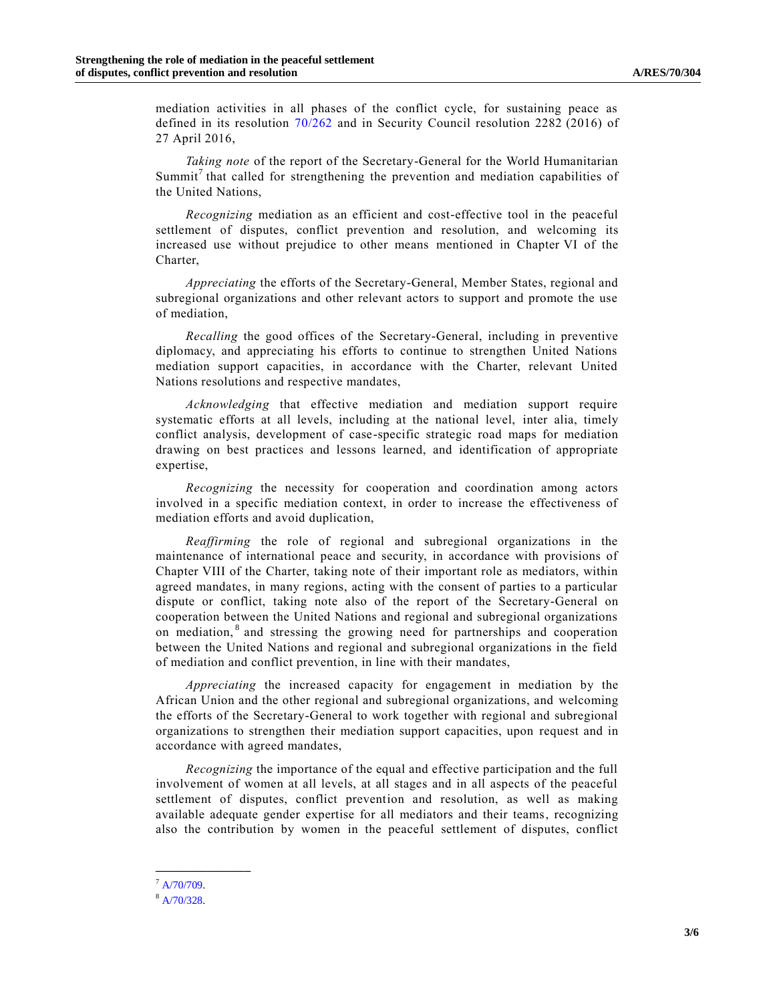mediation activities in all phases of the conflict cycle, for sustaining peace as defined in its resolution [70/262](http://undocs.org/A/RES/70/262) and in Security Council resolution 2282 (2016) of 27 April 2016,

*Taking note* of the report of the Secretary-General for the World Humanitarian Summit<sup>7</sup> that called for strengthening the prevention and mediation capabilities of the United Nations,

*Recognizing* mediation as an efficient and cost-effective tool in the peaceful settlement of disputes, conflict prevention and resolution, and welcoming its increased use without prejudice to other means mentioned in Chapter VI of the Charter,

*Appreciating* the efforts of the Secretary-General, Member States, regional and subregional organizations and other relevant actors to support and promote the use of mediation,

*Recalling* the good offices of the Secretary-General, including in preventive diplomacy, and appreciating his efforts to continue to strengthen United Nations mediation support capacities, in accordance with the Charter, relevant United Nations resolutions and respective mandates,

*Acknowledging* that effective mediation and mediation support require systematic efforts at all levels, including at the national level, inter alia, timely conflict analysis, development of case-specific strategic road maps for mediation drawing on best practices and lessons learned, and identification of appropriate expertise,

*Recognizing* the necessity for cooperation and coordination among actors involved in a specific mediation context, in order to increase the effectiveness of mediation efforts and avoid duplication,

*Reaffirming* the role of regional and subregional organizations in the maintenance of international peace and security, in accordance with provisions of Chapter VIII of the Charter, taking note of their important role as mediators, within agreed mandates, in many regions, acting with the consent of parties to a particular dispute or conflict, taking note also of the report of the Secretary-General on cooperation between the United Nations and regional and subregional organizations on mediation,<sup>8</sup> and stressing the growing need for partnerships and cooperation between the United Nations and regional and subregional organizations in the field of mediation and conflict prevention, in line with their mandates,

*Appreciating* the increased capacity for engagement in mediation by the African Union and the other regional and subregional organizations, and welcoming the efforts of the Secretary-General to work together with regional and subregional organizations to strengthen their mediation support capacities, upon request and in accordance with agreed mandates,

*Recognizing* the importance of the equal and effective participation and the full involvement of women at all levels, at all stages and in all aspects of the peaceful settlement of disputes, conflict prevention and resolution, as well as making available adequate gender expertise for all mediators and their teams, recognizing also the contribution by women in the peaceful settlement of disputes, conflict

**\_\_\_\_\_\_\_\_\_\_\_\_\_\_\_**

 $^7$  [A/70/709.](http://undocs.org/A/70/709)

<sup>8</sup> [A/70/328.](http://undocs.org/A/70/328)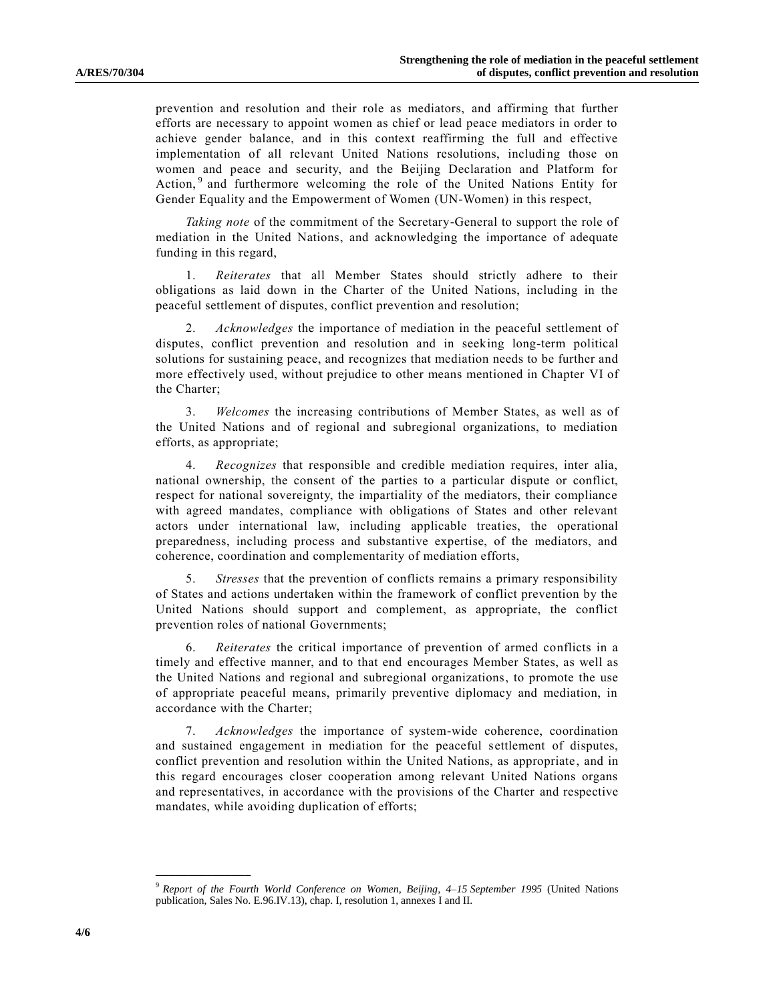prevention and resolution and their role as mediators, and affirming that further efforts are necessary to appoint women as chief or lead peace mediators in order to achieve gender balance, and in this context reaffirming the full and effective implementation of all relevant United Nations resolutions, including those on women and peace and security, and the Beijing Declaration and Platform for Action,<sup>9</sup> and furthermore welcoming the role of the United Nations Entity for Gender Equality and the Empowerment of Women (UN-Women) in this respect,

*Taking note* of the commitment of the Secretary-General to support the role of mediation in the United Nations, and acknowledging the importance of adequate funding in this regard,

1. *Reiterates* that all Member States should strictly adhere to their obligations as laid down in the Charter of the United Nations, including in the peaceful settlement of disputes, conflict prevention and resolution;

2. *Acknowledges* the importance of mediation in the peaceful settlement of disputes, conflict prevention and resolution and in seeking long-term political solutions for sustaining peace, and recognizes that mediation needs to be further and more effectively used, without prejudice to other means mentioned in Chapter VI of the Charter;

3. *Welcomes* the increasing contributions of Member States, as well as of the United Nations and of regional and subregional organizations, to mediation efforts, as appropriate;

4. *Recognizes* that responsible and credible mediation requires, inter alia, national ownership, the consent of the parties to a particular dispute or conflict, respect for national sovereignty, the impartiality of the mediators, their compliance with agreed mandates, compliance with obligations of States and other relevant actors under international law, including applicable treaties, the operational preparedness, including process and substantive expertise, of the mediators, and coherence, coordination and complementarity of mediation efforts,

5. *Stresses* that the prevention of conflicts remains a primary responsibility of States and actions undertaken within the framework of conflict prevention by the United Nations should support and complement, as appropriate, the conflict prevention roles of national Governments;

6. *Reiterates* the critical importance of prevention of armed conflicts in a timely and effective manner, and to that end encourages Member States, as well as the United Nations and regional and subregional organizations, to promote the use of appropriate peaceful means, primarily preventive diplomacy and mediation, in accordance with the Charter;

7. *Acknowledges* the importance of system-wide coherence, coordination and sustained engagement in mediation for the peaceful settlement of disputes, conflict prevention and resolution within the United Nations, as appropriate , and in this regard encourages closer cooperation among relevant United Nations organs and representatives, in accordance with the provisions of the Charter and respective mandates, while avoiding duplication of efforts;

**\_\_\_\_\_\_\_\_\_\_\_\_\_\_\_**

<sup>9</sup> *Report of the Fourth World Conference on Women, Beijing, 4–15 September 1995* (United Nations publication, Sales No. E.96.IV.13), chap. I, resolution 1, annexes I and II.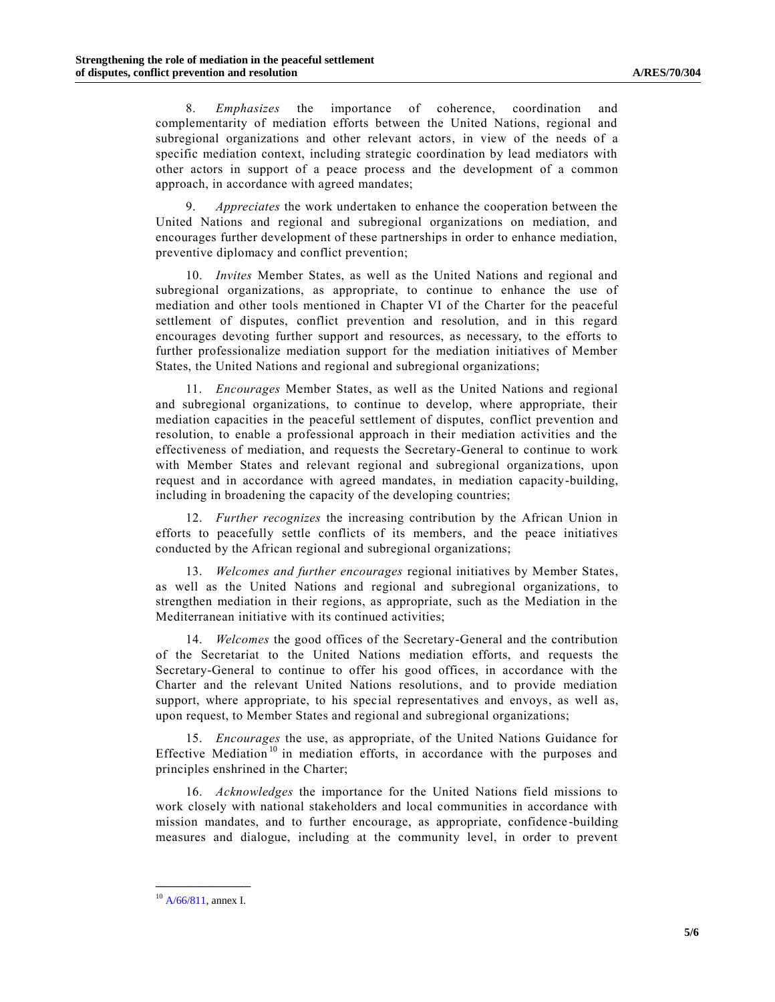8. *Emphasizes* the importance of coherence, coordination and complementarity of mediation efforts between the United Nations, regional and subregional organizations and other relevant actors, in view of the needs of a specific mediation context, including strategic coordination by lead mediators with other actors in support of a peace process and the development of a common approach, in accordance with agreed mandates;

9. *Appreciates* the work undertaken to enhance the cooperation between the United Nations and regional and subregional organizations on mediation, and encourages further development of these partnerships in order to enhance mediation, preventive diplomacy and conflict prevention;

10. *Invites* Member States, as well as the United Nations and regional and subregional organizations, as appropriate, to continue to enhance the use of mediation and other tools mentioned in Chapter VI of the Charter for the peaceful settlement of disputes, conflict prevention and resolution, and in this regard encourages devoting further support and resources, as necessary, to the efforts to further professionalize mediation support for the mediation initiatives of Member States, the United Nations and regional and subregional organizations;

11. *Encourages* Member States, as well as the United Nations and regional and subregional organizations, to continue to develop, where appropriate, their mediation capacities in the peaceful settlement of disputes, conflict prevention and resolution, to enable a professional approach in their mediation activities and the effectiveness of mediation, and requests the Secretary-General to continue to work with Member States and relevant regional and subregional organizations, upon request and in accordance with agreed mandates, in mediation capacity-building, including in broadening the capacity of the developing countries;

12. *Further recognizes* the increasing contribution by the African Union in efforts to peacefully settle conflicts of its members, and the peace initiatives conducted by the African regional and subregional organizations;

13. *Welcomes and further encourages* regional initiatives by Member States, as well as the United Nations and regional and subregional organizations, to strengthen mediation in their regions, as appropriate, such as the Mediation in the Mediterranean initiative with its continued activities;

14. *Welcomes* the good offices of the Secretary-General and the contribution of the Secretariat to the United Nations mediation efforts, and requests the Secretary-General to continue to offer his good offices, in accordance with the Charter and the relevant United Nations resolutions, and to provide mediation support, where appropriate, to his special representatives and envoys, as well as, upon request, to Member States and regional and subregional organizations;

15. *Encourages* the use, as appropriate, of the United Nations Guidance for Effective Mediation<sup>10</sup> in mediation efforts, in accordance with the purposes and principles enshrined in the Charter;

16. *Acknowledges* the importance for the United Nations field missions to work closely with national stakeholders and local communities in accordance with mission mandates, and to further encourage, as appropriate, confidence -building measures and dialogue, including at the community level, in order to prevent

**\_\_\_\_\_\_\_\_\_\_\_\_\_\_\_**  $10$  [A/66/811,](http://undocs.org/A/66/811) annex I.